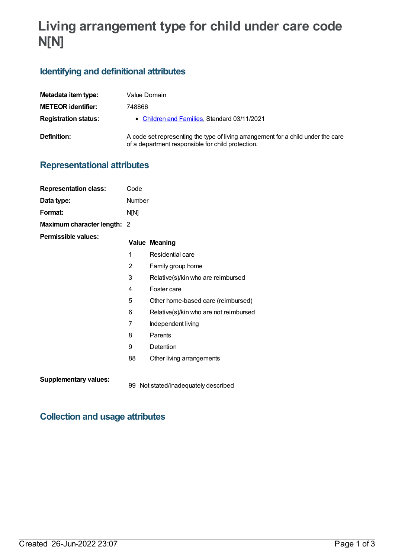# **Living arrangement type for child under care code N[N]**

### **Identifying and definitional attributes**

| Metadata item type:         | Value Domain                                                                                                                           |
|-----------------------------|----------------------------------------------------------------------------------------------------------------------------------------|
| <b>METEOR identifier:</b>   | 748866                                                                                                                                 |
| <b>Registration status:</b> | • Children and Families, Standard 03/11/2021                                                                                           |
| Definition:                 | A code set representing the type of living arrangement for a child under the care<br>of a department responsible for child protection. |

### **Representational attributes**

| <b>Representation class:</b> | Code           |                                        |
|------------------------------|----------------|----------------------------------------|
| Data type:                   | Number         |                                        |
| Format:                      | N[N]           |                                        |
| Maximum character length: 2  |                |                                        |
| <b>Permissible values:</b>   |                | <b>Value Meaning</b>                   |
|                              | 1              | Residential care                       |
|                              | 2              | Family group home                      |
|                              | 3              | Relative(s)/kin who are reimbursed     |
|                              | 4              | Foster care                            |
|                              | 5              | Other home-based care (reimbursed)     |
|                              | 6              | Relative(s)/kin who are not reimbursed |
|                              | $\overline{7}$ | Independent living                     |
|                              | 8              | Parents                                |
|                              | 9              | Detention                              |
|                              | 88             | Other living arrangements              |
| <b>Supplementary values:</b> |                | 99 Not stated/inadequately described   |

## **Collection and usage attributes**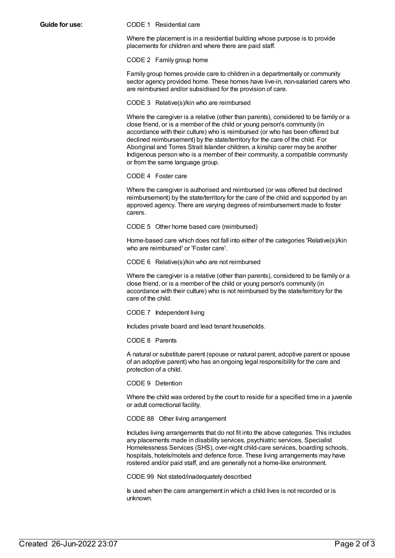#### **Guide for use:** CODE 1 Residential care

Where the placement is in a residential building whose purpose is to provide placements for children and where there are paid staff.

CODE 2 Family group home

Family group homes provide care to children in a departmentally or community sector agency provided home. These homes have live-in, non-salaried carers who are reimbursed and/or subsidised for the provision of care.

CODE 3 Relative(s)/kin who are reimbursed

Where the caregiver is a relative (other than parents), considered to be family or a close friend, or is a member of the child or young person's community (in accordance with their culture) who is reimbursed (or who has been offered but declined reimbursement) by the state/territory for the care of the child. For Aboriginal and Torres Strait Islander children, a kinship carer may be another Indigenous person who is a member of their community, a compatible community or from the same language group.

#### CODE 4 Foster care

Where the caregiver is authorised and reimbursed (or was offered but declined reimbursement) by the state/territory for the care of the child and supported by an approved agency. There are varying degrees of reimbursement made to foster carers.

CODE 5 Other home based care (reimbursed)

Home-based care which does not fall into either of the categories 'Relative(s)/kin who are reimbursed' or 'Foster care'.

CODE 6 Relative(s)/kin who are not reimbursed

Where the caregiver is a relative (other than parents), considered to be family or a close friend, or is a member of the child or young person's community (in accordance with their culture) who is not reimbursed by the state/territory for the care of the child.

CODE 7 Independent living

Includes private board and lead tenant households.

CODE 8 Parents

A natural or substitute parent (spouse or natural parent, adoptive parent or spouse of an adoptive parent) who has an ongoing legal responsibility for the care and protection of a child.

CODE 9 Detention

Where the child was ordered by the court to reside for a specified time in a juvenile or adult correctional facility.

CODE 88 Other living arrangement

Includes living arrangements that do not fit into the above categories. This includes any placements made in disability services, psychiatric services, Specialist Homelessness Services (SHS), over-night child-care services, boarding schools, hospitals, hotels/motels and defence force. These living arrangements may have rostered and/or paid staff, and are generally not a home-like environment.

CODE 99 Not stated/inadequately described

Is used when the care arrangement in which a child lives is not recorded or is unknown.